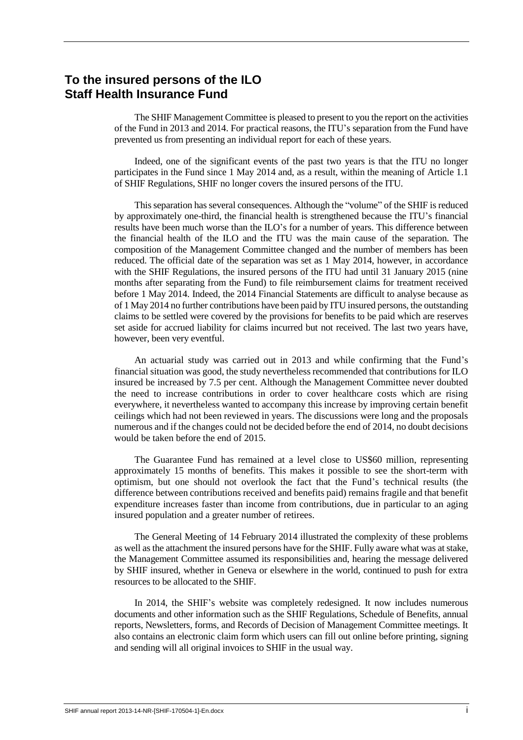## **To the insured persons of the ILO Staff Health Insurance Fund**

The SHIF Management Committee is pleased to present to you the report on the activities of the Fund in 2013 and 2014. For practical reasons, the ITU's separation from the Fund have prevented us from presenting an individual report for each of these years.

Indeed, one of the significant events of the past two years is that the ITU no longer participates in the Fund since 1 May 2014 and, as a result, within the meaning of Article 1.1 of SHIF Regulations, SHIF no longer covers the insured persons of the ITU.

This separation has several consequences. Although the "volume" of the SHIF is reduced by approximately one-third, the financial health is strengthened because the ITU's financial results have been much worse than the ILO's for a number of years. This difference between the financial health of the ILO and the ITU was the main cause of the separation. The composition of the Management Committee changed and the number of members has been reduced. The official date of the separation was set as 1 May 2014, however, in accordance with the SHIF Regulations, the insured persons of the ITU had until 31 January 2015 (nine months after separating from the Fund) to file reimbursement claims for treatment received before 1 May 2014. Indeed, the 2014 Financial Statements are difficult to analyse because as of 1 May 2014 no further contributions have been paid by ITU insured persons, the outstanding claims to be settled were covered by the provisions for benefits to be paid which are reserves set aside for accrued liability for claims incurred but not received. The last two years have, however, been very eventful.

An actuarial study was carried out in 2013 and while confirming that the Fund's financial situation was good, the study nevertheless recommended that contributions for ILO insured be increased by 7.5 per cent. Although the Management Committee never doubted the need to increase contributions in order to cover healthcare costs which are rising everywhere, it nevertheless wanted to accompany this increase by improving certain benefit ceilings which had not been reviewed in years. The discussions were long and the proposals numerous and if the changes could not be decided before the end of 2014, no doubt decisions would be taken before the end of 2015.

The Guarantee Fund has remained at a level close to US\$60 million, representing approximately 15 months of benefits. This makes it possible to see the short-term with optimism, but one should not overlook the fact that the Fund's technical results (the difference between contributions received and benefits paid) remains fragile and that benefit expenditure increases faster than income from contributions, due in particular to an aging insured population and a greater number of retirees.

The General Meeting of 14 February 2014 illustrated the complexity of these problems as well as the attachment the insured persons have for the SHIF. Fully aware what was at stake, the Management Committee assumed its responsibilities and, hearing the message delivered by SHIF insured, whether in Geneva or elsewhere in the world, continued to push for extra resources to be allocated to the SHIF.

In 2014, the SHIF's website was completely redesigned. It now includes numerous documents and other information such as the SHIF Regulations, Schedule of Benefits, annual reports, Newsletters, forms, and Records of Decision of Management Committee meetings. It also contains an electronic claim form which users can fill out online before printing, signing and sending will all original invoices to SHIF in the usual way.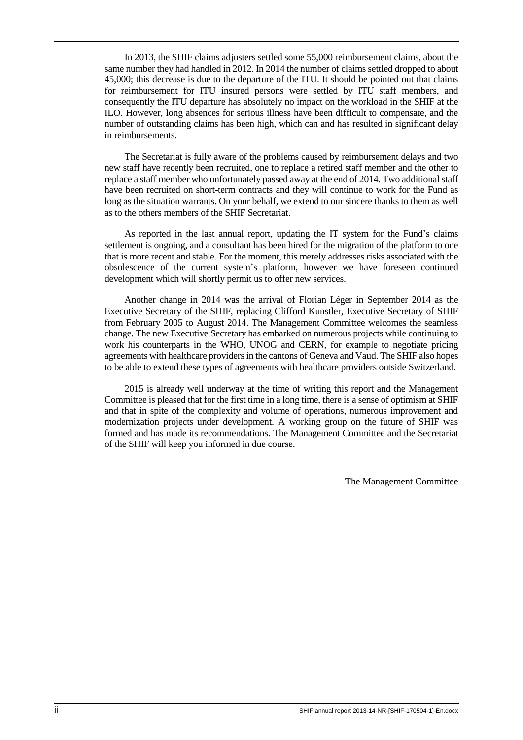In 2013, the SHIF claims adjusters settled some 55,000 reimbursement claims, about the same number they had handled in 2012. In 2014 the number of claims settled dropped to about 45,000; this decrease is due to the departure of the ITU. It should be pointed out that claims for reimbursement for ITU insured persons were settled by ITU staff members, and consequently the ITU departure has absolutely no impact on the workload in the SHIF at the ILO. However, long absences for serious illness have been difficult to compensate, and the number of outstanding claims has been high, which can and has resulted in significant delay in reimbursements.

The Secretariat is fully aware of the problems caused by reimbursement delays and two new staff have recently been recruited, one to replace a retired staff member and the other to replace a staff member who unfortunately passed away at the end of 2014. Two additional staff have been recruited on short-term contracts and they will continue to work for the Fund as long as the situation warrants. On your behalf, we extend to our sincere thanks to them as well as to the others members of the SHIF Secretariat.

As reported in the last annual report, updating the IT system for the Fund's claims settlement is ongoing, and a consultant has been hired for the migration of the platform to one that is more recent and stable. For the moment, this merely addresses risks associated with the obsolescence of the current system's platform, however we have foreseen continued development which will shortly permit us to offer new services.

Another change in 2014 was the arrival of Florian Léger in September 2014 as the Executive Secretary of the SHIF, replacing Clifford Kunstler, Executive Secretary of SHIF from February 2005 to August 2014. The Management Committee welcomes the seamless change. The new Executive Secretary has embarked on numerous projects while continuing to work his counterparts in the WHO, UNOG and CERN, for example to negotiate pricing agreements with healthcare providers in the cantons of Geneva and Vaud. The SHIF also hopes to be able to extend these types of agreements with healthcare providers outside Switzerland.

2015 is already well underway at the time of writing this report and the Management Committee is pleased that for the first time in a long time, there is a sense of optimism at SHIF and that in spite of the complexity and volume of operations, numerous improvement and modernization projects under development. A working group on the future of SHIF was formed and has made its recommendations. The Management Committee and the Secretariat of the SHIF will keep you informed in due course.

The Management Committee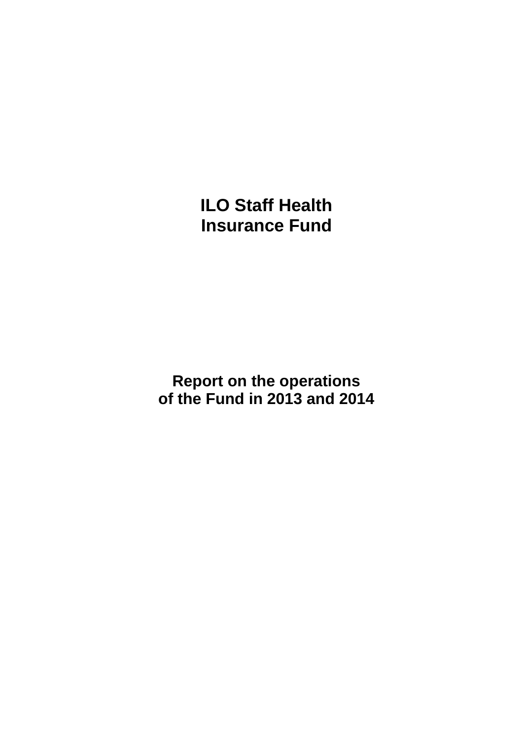**ILO Staff Health Insurance Fund**

**Report on the operations of the Fund in 2013 and 2014**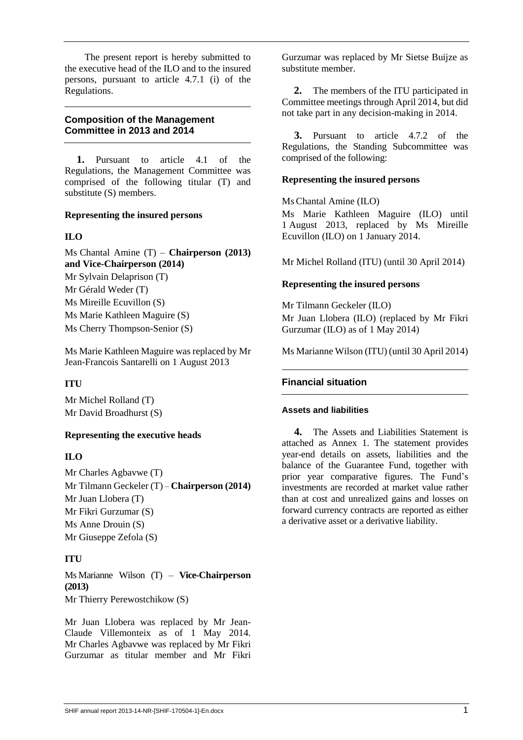The present report is hereby submitted to the executive head of the ILO and to the insured persons, pursuant to article 4.7.1 (i) of the Regulations.

### **Composition of the Management Committee in 2013 and 2014**

**1.** Pursuant to article 4.1 of the Regulations, the Management Committee was comprised of the following titular (T) and substitute (S) members.

### **Representing the insured persons**

## **ILO**

Ms Chantal Amine (T) – **Chairperson (2013) and Vice-Chairperson (2014)** Mr Sylvain Delaprison (T) Mr Gérald Weder (T) Ms Mireille Ecuvillon (S) Ms Marie Kathleen Maguire (S) Ms Cherry Thompson-Senior (S)

Ms Marie Kathleen Maguire was replaced by Mr Jean-Francois Santarelli on 1 August 2013

## **ITU**

Mr Michel Rolland (T) Mr David Broadhurst (S)

## **Representing the executive heads**

## **ILO**

Mr Charles Agbavwe (T) Mr Tilmann Geckeler (T) – **Chairperson (2014)** Mr Juan Llobera (T) Mr Fikri Gurzumar (S) Ms Anne Drouin (S) Mr Giuseppe Zefola (S)

## **ITU**

Ms Marianne Wilson (T) – **Vice-Chairperson (2013)** Mr Thierry Perewostchikow (S)

Mr Juan Llobera was replaced by Mr Jean-Claude Villemonteix as of 1 May 2014. Mr Charles Agbavwe was replaced by Mr Fikri Gurzumar as titular member and Mr Fikri

Gurzumar was replaced by Mr Sietse Buijze as substitute member.

**2.** The members of the ITU participated in Committee meetings through April 2014, but did not take part in any decision-making in 2014.

**3.** Pursuant to article 4.7.2 of the Regulations, the Standing Subcommittee was comprised of the following:

## **Representing the insured persons**

Ms Chantal Amine (ILO)

Ms Marie Kathleen Maguire (ILO) until 1 August 2013, replaced by Ms Mireille Ecuvillon (ILO) on 1 January 2014.

Mr Michel Rolland (ITU) (until 30 April 2014)

## **Representing the insured persons**

Mr Tilmann Geckeler (ILO) Mr Juan Llobera (ILO) (replaced by Mr Fikri Gurzumar (ILO) as of 1 May 2014)

Ms Marianne Wilson (ITU) (until 30 April 2014)

## **Financial situation**

### **Assets and liabilities**

**4.** The Assets and Liabilities Statement is attached as Annex 1. The statement provides year-end details on assets, liabilities and the balance of the Guarantee Fund, together with prior year comparative figures. The Fund's investments are recorded at market value rather than at cost and unrealized gains and losses on forward currency contracts are reported as either a derivative asset or a derivative liability.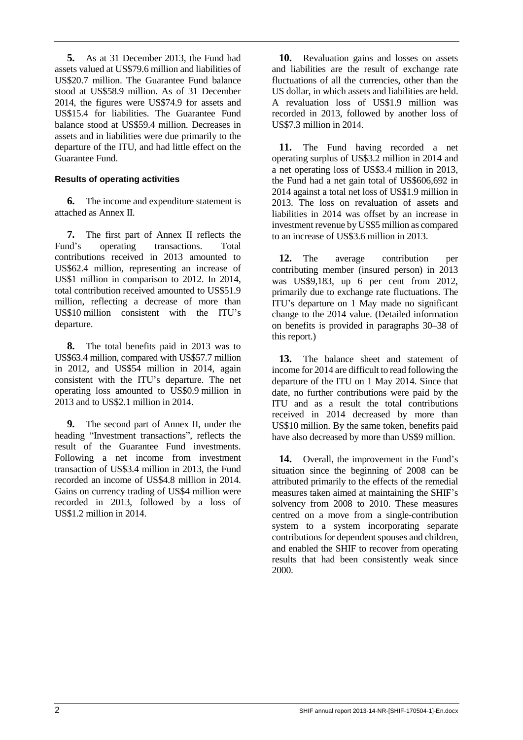**5.** As at 31 December 2013, the Fund had assets valued at US\$79.6 million and liabilities of US\$20.7 million. The Guarantee Fund balance stood at US\$58.9 million. As of 31 December 2014, the figures were US\$74.9 for assets and US\$15.4 for liabilities. The Guarantee Fund balance stood at US\$59.4 million. Decreases in assets and in liabilities were due primarily to the departure of the ITU, and had little effect on the Guarantee Fund.

#### **Results of operating activities**

**6.** The income and expenditure statement is attached as Annex II.

**7.** The first part of Annex II reflects the Fund's operating transactions. Total contributions received in 2013 amounted to US\$62.4 million, representing an increase of US\$1 million in comparison to 2012. In 2014, total contribution received amounted to US\$51.9 million, reflecting a decrease of more than US\$10 million consistent with the ITU's departure.

**8.** The total benefits paid in 2013 was to US\$63.4 million, compared with US\$57.7 million in 2012, and US\$54 million in 2014, again consistent with the ITU's departure. The net operating loss amounted to US\$0.9 million in 2013 and to US\$2.1 million in 2014.

**9.** The second part of Annex II, under the heading "Investment transactions", reflects the result of the Guarantee Fund investments. Following a net income from investment transaction of US\$3.4 million in 2013, the Fund recorded an income of US\$4.8 million in 2014. Gains on currency trading of US\$4 million were recorded in 2013, followed by a loss of US\$1.2 million in 2014.

**10.** Revaluation gains and losses on assets and liabilities are the result of exchange rate fluctuations of all the currencies, other than the US dollar, in which assets and liabilities are held. A revaluation loss of US\$1.9 million was recorded in 2013, followed by another loss of US\$7.3 million in 2014.

**11.** The Fund having recorded a net operating surplus of US\$3.2 million in 2014 and a net operating loss of US\$3.4 million in 2013, the Fund had a net gain total of US\$606,692 in 2014 against a total net loss of US\$1.9 million in 2013. The loss on revaluation of assets and liabilities in 2014 was offset by an increase in investment revenue by US\$5 million as compared to an increase of US\$3.6 million in 2013.

**12.** The average contribution per contributing member (insured person) in 2013 was US\$9,183, up 6 per cent from 2012, primarily due to exchange rate fluctuations. The ITU's departure on 1 May made no significant change to the 2014 value. (Detailed information on benefits is provided in paragraphs 30–38 of this report.)

**13.** The balance sheet and statement of income for 2014 are difficult to read following the departure of the ITU on 1 May 2014. Since that date, no further contributions were paid by the ITU and as a result the total contributions received in 2014 decreased by more than US\$10 million. By the same token, benefits paid have also decreased by more than US\$9 million.

**14.** Overall, the improvement in the Fund's situation since the beginning of 2008 can be attributed primarily to the effects of the remedial measures taken aimed at maintaining the SHIF's solvency from 2008 to 2010. These measures centred on a move from a single-contribution system to a system incorporating separate contributions for dependent spouses and children, and enabled the SHIF to recover from operating results that had been consistently weak since 2000.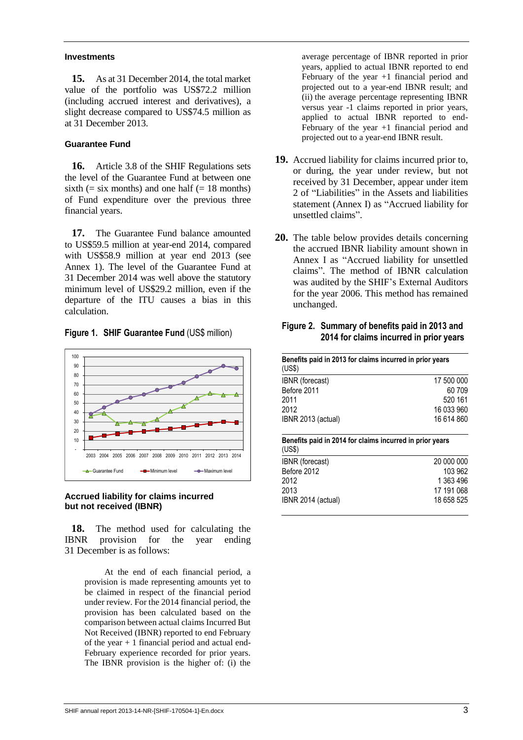#### **Investments**

**15.** As at 31 December 2014, the total market value of the portfolio was US\$72.2 million (including accrued interest and derivatives), a slight decrease compared to US\$74.5 million as at 31 December 2013.

#### **Guarantee Fund**

**16.** Article 3.8 of the SHIF Regulations sets the level of the Guarantee Fund at between one sixth  $(=$  six months) and one half  $(= 18 \text{ months})$ of Fund expenditure over the previous three financial years.

**17.** The Guarantee Fund balance amounted to US\$59.5 million at year-end 2014, compared with US\$58.9 million at year end 2013 (see Annex 1). The level of the Guarantee Fund at 31 December 2014 was well above the statutory minimum level of US\$29.2 million, even if the departure of the ITU causes a bias in this calculation.

**Figure 1. SHIF Guarantee Fund** (US\$ million)



#### **Accrued liability for claims incurred but not received (IBNR)**

**18.** The method used for calculating the IBNR provision for the year ending 31 December is as follows:

> At the end of each financial period, a provision is made representing amounts yet to be claimed in respect of the financial period under review. For the 2014 financial period, the provision has been calculated based on the comparison between actual claims Incurred But Not Received (IBNR) reported to end February of the year + 1 financial period and actual end-February experience recorded for prior years. The IBNR provision is the higher of: (i) the

average percentage of IBNR reported in prior years, applied to actual IBNR reported to end February of the year +1 financial period and projected out to a year-end IBNR result; and (ii) the average percentage representing IBNR versus year -1 claims reported in prior years, applied to actual IBNR reported to end-February of the year +1 financial period and projected out to a year-end IBNR result.

- **19.** Accrued liability for claims incurred prior to, or during, the year under review, but not received by 31 December, appear under item 2 of "Liabilities" in the Assets and liabilities statement (Annex I) as "Accrued liability for unsettled claims".
- **20.** The table below provides details concerning the accrued IBNR liability amount shown in Annex I as "Accrued liability for unsettled claims". The method of IBNR calculation was audited by the SHIF's External Auditors for the year 2006. This method has remained unchanged.

#### **Figure 2. Summary of benefits paid in 2013 and 2014 for claims incurred in prior years**

| Benefits paid in 2013 for claims incurred in prior years<br>(US\$) |            |  |  |  |  |  |  |  |
|--------------------------------------------------------------------|------------|--|--|--|--|--|--|--|
| IBNR (forecast)                                                    | 17 500 000 |  |  |  |  |  |  |  |
| Before 2011                                                        | 60 709     |  |  |  |  |  |  |  |
| 2011                                                               | 520 161    |  |  |  |  |  |  |  |
| 2012                                                               | 16 033 960 |  |  |  |  |  |  |  |
| IBNR 2013 (actual)                                                 | 16 614 860 |  |  |  |  |  |  |  |

#### **Benefits paid in 2014 for claims incurred in prior years**  $(1100)$

| (000)              |            |
|--------------------|------------|
| IBNR (forecast)    | 20 000 000 |
| Before 2012        | 103 962    |
| 2012               | 1 363 496  |
| 2013               | 17 191 068 |
| IBNR 2014 (actual) | 18 658 525 |
|                    |            |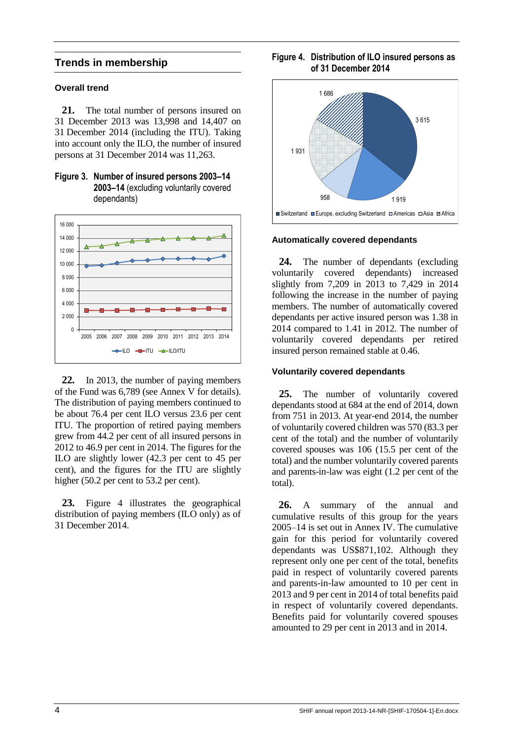### **Trends in membership**

#### **Overall trend**

**21.** The total number of persons insured on 31 December 2013 was 13,998 and 14,407 on 31 December 2014 (including the ITU). Taking into account only the ILO, the number of insured persons at 31 December 2014 was 11,263.





**22.** In 2013, the number of paying members of the Fund was 6,789 (see Annex V for details). The distribution of paying members continued to be about 76.4 per cent ILO versus 23.6 per cent ITU. The proportion of retired paying members grew from 44.2 per cent of all insured persons in 2012 to 46.9 per cent in 2014. The figures for the ILO are slightly lower (42.3 per cent to 45 per cent), and the figures for the ITU are slightly higher (50.2 per cent to 53.2 per cent).

**23.** Figure 4 illustrates the geographical distribution of paying members (ILO only) as of 31 December 2014.

### **Figure 4. Distribution of ILO insured persons as of 31 December 2014**



#### **Automatically covered dependants**

**24.** The number of dependants (excluding voluntarily covered dependants) increased slightly from 7,209 in 2013 to 7,429 in 2014 following the increase in the number of paying members. The number of automatically covered dependants per active insured person was 1.38 in 2014 compared to 1.41 in 2012. The number of voluntarily covered dependants per retired insured person remained stable at 0.46.

#### **Voluntarily covered dependants**

**25.** The number of voluntarily covered dependants stood at 684 at the end of 2014, down from 751 in 2013. At year-end 2014, the number of voluntarily covered children was 570 (83.3 per cent of the total) and the number of voluntarily covered spouses was 106 (15.5 per cent of the total) and the number voluntarily covered parents and parents-in-law was eight (1.2 per cent of the total).

**26.** A summary of the annual and cumulative results of this group for the years 2005–14 is set out in Annex IV. The cumulative gain for this period for voluntarily covered dependants was US\$871,102. Although they represent only one per cent of the total, benefits paid in respect of voluntarily covered parents and parents-in-law amounted to 10 per cent in 2013 and 9 per cent in 2014 of total benefits paid in respect of voluntarily covered dependants. Benefits paid for voluntarily covered spouses amounted to 29 per cent in 2013 and in 2014.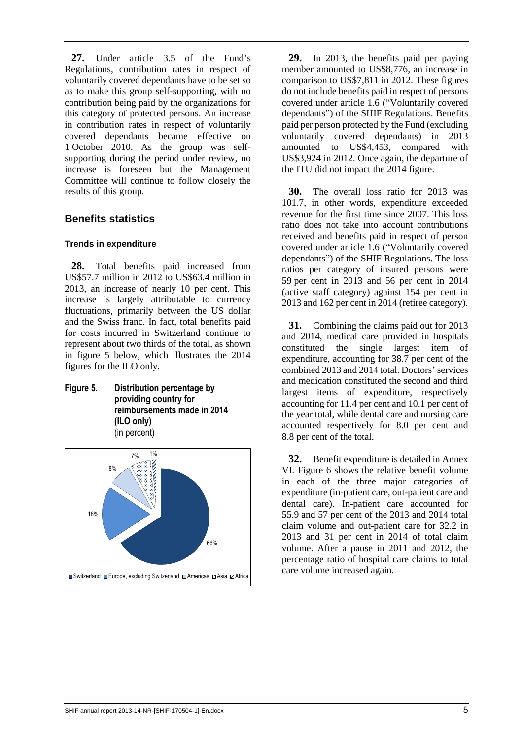**27.** Under article 3.5 of the Fund's Regulations, contribution rates in respect of voluntarily covered dependants have to be set so as to make this group self-supporting, with no contribution being paid by the organizations for this category of protected persons. An increase in contribution rates in respect of voluntarily covered dependants became effective on 1 October 2010. As the group was selfsupporting during the period under review, no increase is foreseen but the Management Committee will continue to follow closely the results of this group.

## **Benefits statistics**

#### **Trends in expenditure**

**28.** Total benefits paid increased from US\$57.7 million in 2012 to US\$63.4 million in 2013, an increase of nearly 10 per cent. This increase is largely attributable to currency fluctuations, primarily between the US dollar and the Swiss franc. In fact, total benefits paid for costs incurred in Switzerland continue to represent about two thirds of the total, as shown in figure 5 below, which illustrates the 2014 figures for the ILO only.

**Figure 5. Distribution percentage by providing country for reimbursements made in 2014 (ILO only)** (in percent)



**29.** In 2013, the benefits paid per paying member amounted to US\$8,776, an increase in comparison to US\$7,811 in 2012. These figures do not include benefits paid in respect of persons covered under article 1.6 ("Voluntarily covered dependants") of the SHIF Regulations. Benefits paid per person protected by the Fund (excluding voluntarily covered dependants) in 2013 amounted to US\$4,453, compared with US\$3,924 in 2012. Once again, the departure of the ITU did not impact the 2014 figure.

**30.** The overall loss ratio for 2013 was 101.7, in other words, expenditure exceeded revenue for the first time since 2007. This loss ratio does not take into account contributions received and benefits paid in respect of person covered under article 1.6 ("Voluntarily covered dependants") of the SHIF Regulations. The loss ratios per category of insured persons were 59 per cent in 2013 and 56 per cent in 2014 (active staff category) against 154 per cent in 2013 and 162 per cent in 2014 (retiree category).

**31.** Combining the claims paid out for 2013 and 2014, medical care provided in hospitals constituted the single largest item of expenditure, accounting for 38.7 per cent of the combined 2013 and 2014 total. Doctors' services and medication constituted the second and third largest items of expenditure, respectively accounting for 11.4 per cent and 10.1 per cent of the year total, while dental care and nursing care accounted respectively for 8.0 per cent and 8.8 per cent of the total.

**32.** Benefit expenditure is detailed in Annex VI. Figure 6 shows the relative benefit volume in each of the three major categories of expenditure (in-patient care, out-patient care and dental care). In-patient care accounted for 55.9 and 57 per cent of the 2013 and 2014 total claim volume and out-patient care for 32.2 in 2013 and 31 per cent in 2014 of total claim volume. After a pause in 2011 and 2012, the percentage ratio of hospital care claims to total care volume increased again.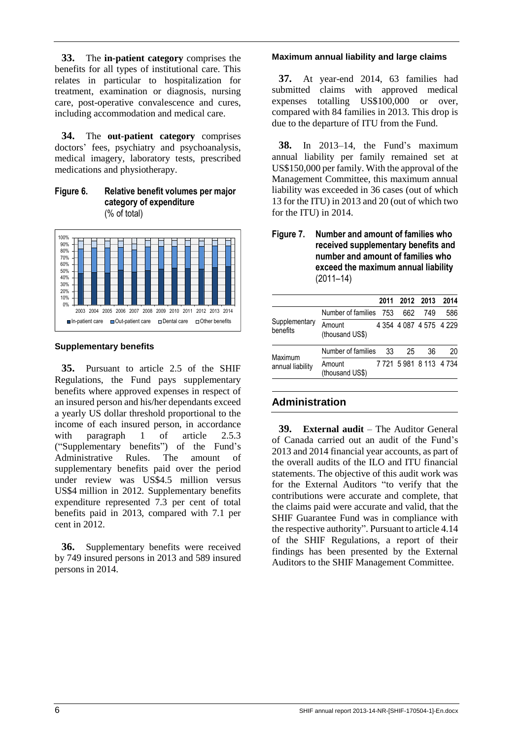**33.** The **in-patient category** comprises the benefits for all types of institutional care. This relates in particular to hospitalization for treatment, examination or diagnosis, nursing care, post-operative convalescence and cures, including accommodation and medical care.

**34.** The **out-patient category** comprises doctors' fees, psychiatry and psychoanalysis, medical imagery, laboratory tests, prescribed medications and physiotherapy.

**Figure 6. Relative benefit volumes per major category of expenditure**  (% of total)



#### **Supplementary benefits**

**35.** Pursuant to article 2.5 of the SHIF Regulations, the Fund pays supplementary benefits where approved expenses in respect of an insured person and his/her dependants exceed a yearly US dollar threshold proportional to the income of each insured person, in accordance with paragraph 1 of article 2.5.3 ("Supplementary benefits") of the Fund's Administrative Rules. The amount of supplementary benefits paid over the period under review was US\$4.5 million versus US\$4 million in 2012. Supplementary benefits expenditure represented 7.3 per cent of total benefits paid in 2013, compared with 7.1 per cent in 2012.

**36.** Supplementary benefits were received by 749 insured persons in 2013 and 589 insured persons in 2014.

#### **Maximum annual liability and large claims**

**37.** At year-end 2014, 63 families had submitted claims with approved medical expenses totalling US\$100,000 or over, compared with 84 families in 2013. This drop is due to the departure of ITU from the Fund.

**38.** In 2013–14, the Fund's maximum annual liability per family remained set at US\$150,000 per family. With the approval of the Management Committee, this maximum annual liability was exceeded in 36 cases (out of which 13 for the ITU) in 2013 and 20 (out of which two for the ITU) in 2014.

**Figure 7. Number and amount of families who received supplementary benefits and number and amount of families who exceed the maximum annual liability**  (2011–14)

|                             |                           |    | 2011 2012 2013          |     | 2014 |
|-----------------------------|---------------------------|----|-------------------------|-----|------|
|                             | Number of families 753    |    | 662                     | 749 | 586  |
| Supplementary<br>benefits   | Amount<br>(thousand US\$) |    | 4 354 4 087 4 575 4 229 |     |      |
| Maximum<br>annual liability | Number of families        | 33 | 25                      | 36  | 20   |
|                             | Amount<br>(thousand US\$) |    | 7 721 5 981 8 113 4 734 |     |      |

## **Administration**

**39. External audit** – The Auditor General of Canada carried out an audit of the Fund's 2013 and 2014 financial year accounts, as part of the overall audits of the ILO and ITU financial statements. The objective of this audit work was for the External Auditors "to verify that the contributions were accurate and complete, that the claims paid were accurate and valid, that the SHIF Guarantee Fund was in compliance with the respective authority". Pursuant to article 4.14 of the SHIF Regulations, a report of their findings has been presented by the External Auditors to the SHIF Management Committee.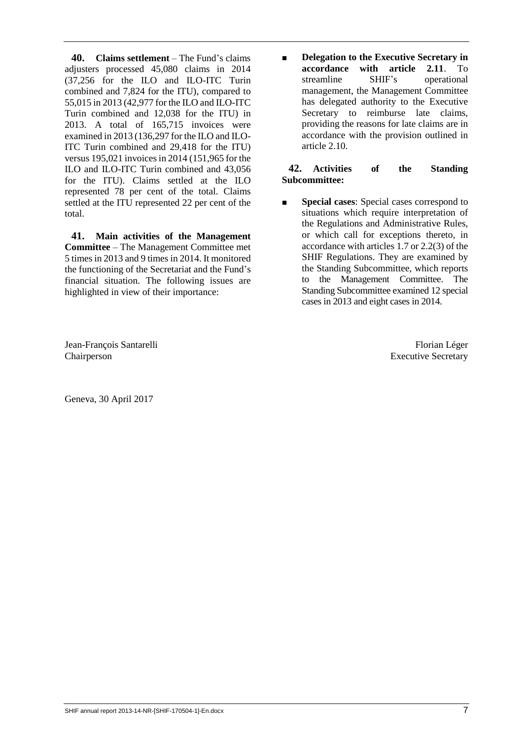**40. Claims settlement** – The Fund's claims adjusters processed 45,080 claims in 2014 (37,256 for the ILO and ILO-ITC Turin combined and 7,824 for the ITU), compared to 55,015 in 2013 (42,977 for the ILO and ILO-ITC Turin combined and 12,038 for the ITU) in 2013. A total of 165,715 invoices were examined in 2013 (136,297 for the ILO and ILO-ITC Turin combined and 29,418 for the ITU) versus 195,021 invoices in 2014 (151,965 for the ILO and ILO-ITC Turin combined and 43,056 for the ITU). Claims settled at the ILO represented 78 per cent of the total. Claims settled at the ITU represented 22 per cent of the total.

**41. Main activities of the Management Committee** – The Management Committee met 5 times in 2013 and 9 times in 2014. It monitored the functioning of the Secretariat and the Fund's financial situation. The following issues are highlighted in view of their importance:

Jean-François Santarelli Florian Léger Chairperson Executive Secretary

Geneva, 30 April 2017

■ **Delegation to the Executive Secretary in accordance with article 2.11**. To streamline SHIF's operational management, the Management Committee has delegated authority to the Executive Secretary to reimburse late claims, providing the reasons for late claims are in accordance with the provision outlined in article 2.10.

## **42. Activities of the Standing Subcommittee:**

■ **Special cases**: Special cases correspond to situations which require interpretation of the Regulations and Administrative Rules, or which call for exceptions thereto, in accordance with articles 1.7 or 2.2(3) of the SHIF Regulations. They are examined by the Standing Subcommittee, which reports to the Management Committee. The Standing Subcommittee examined 12 special cases in 2013 and eight cases in 2014.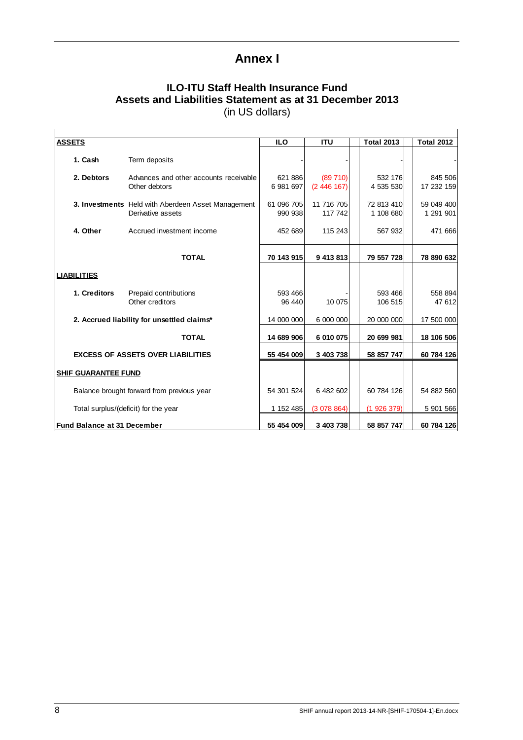## **Annex I**

## **ILO-ITU Staff Health Insurance Fund Assets and Liabilities Statement as at 31 December 2013** (in US dollars)

| <b>ASSETS</b>                      |                                                                         | <b>ILO</b>            | <b>ITU</b>            | <b>Total 2013</b>       | <b>Total 2012</b>       |
|------------------------------------|-------------------------------------------------------------------------|-----------------------|-----------------------|-------------------------|-------------------------|
| 1. Cash                            | Term deposits                                                           |                       |                       |                         |                         |
| 2. Debtors                         | Advances and other accounts receivable<br>Other debtors                 | 621 886<br>6981697    | (89710)<br>(2446167)  | 532 176<br>4 535 530    | 845 506<br>17 232 159   |
|                                    | 3. Investments Held with Aberdeen Asset Management<br>Derivative assets | 61 096 705<br>990 938 | 11 716 705<br>117 742 | 72 813 410<br>1 108 680 | 59 049 400<br>1 291 901 |
| 4. Other                           | Accrued investment income                                               | 452 689               | 115 243               | 567 932                 | 471 666                 |
|                                    | <b>TOTAL</b>                                                            | 70 143 915            | 9 413 813             | 79 557 728              | 78 890 632              |
| <b>LIABILITIES</b>                 |                                                                         |                       |                       |                         |                         |
| 1. Creditors                       | Prepaid contributions<br>Other creditors                                | 593 466<br>96 440     | 10 075                | 593 466<br>106 515      | 558 894<br>47 612       |
|                                    | 2. Accrued liability for unsettled claims*                              | 14 000 000            | 6 000 000             | 20 000 000              | 17 500 000              |
|                                    | <b>TOTAL</b>                                                            | 14 689 906            | 6 010 075             | 20 699 981              | 18 106 506              |
|                                    | <b>EXCESS OF ASSETS OVER LIABILITIES</b>                                | 55 454 009            | 3 403 738             | 58 857 747              | 60 784 126              |
| <b>SHIF GUARANTEE FUND</b>         |                                                                         |                       |                       |                         |                         |
|                                    | Balance brought forward from previous year                              | 54 301 524            | 6 482 602             | 60 784 126              | 54 882 560              |
|                                    | Total surplus/(deficit) for the year                                    | 1 152 485             | (3078864)             | (1926379)               | 5 901 566               |
| <b>Fund Balance at 31 December</b> |                                                                         | 55 454 009            | 3 403 738             | 58 857 747              | 60 784 126              |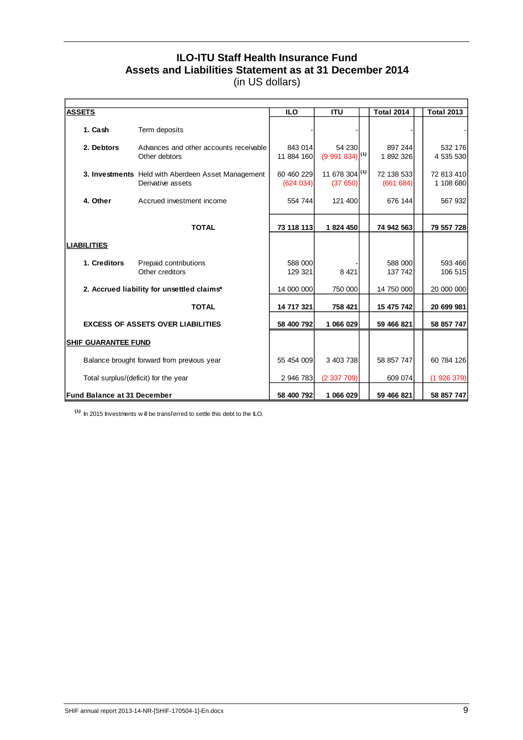## **ILO-ITU Staff Health Insurance Fund Assets and Liabilities Statement as at 31 December 2014** (in US dollars)

| <b>ASSETS</b>                      |                                                                         | <b>ILO</b>             | <b>ITU</b>                           | <b>Total 2014</b>      | <b>Total 2013</b>       |
|------------------------------------|-------------------------------------------------------------------------|------------------------|--------------------------------------|------------------------|-------------------------|
| 1. Cash                            | Term deposits                                                           |                        |                                      |                        |                         |
| 2. Debtors                         | Advances and other accounts receivable<br>Other debtors                 | 843 014<br>11 884 160  | 54 230<br>$(9991834)$ <sup>(1)</sup> | 897 244<br>1892326     | 532 176<br>4 535 530    |
|                                    | 3. Investments Held with Aberdeen Asset Management<br>Derivative assets | 60 460 229<br>(624034) | 11 678 304 (1)<br>(37650)            | 72 138 533<br>(661684) | 72 813 410<br>1 108 680 |
| 4. Other                           | Accrued investment income                                               | 554 744                | 121 400                              | 676 144                | 567 932                 |
|                                    | <b>TOTAL</b>                                                            | 73 118 113             | 1824 450                             | 74 942 563             | 79 557 728              |
| <b>LIABILITIES</b>                 |                                                                         |                        |                                      |                        |                         |
| 1. Creditors                       | Prepaid contributions<br>Other creditors                                | 588 000<br>129 321     | 8 4 21                               | 588 000<br>137 742     | 593 466<br>106 515      |
|                                    | 2. Accrued liability for unsettled claims*                              | 14 000 000             | 750 000                              | 14 750 000             | 20 000 000              |
|                                    | <b>TOTAL</b>                                                            | 14 717 321             | 758 421                              | 15 475 742             | 20 699 981              |
|                                    | <b>EXCESS OF ASSETS OVER LIABILITIES</b>                                | 58 400 792             | 1 066 029                            | 59 466 821             | 58 857 747              |
| <b>SHIF GUARANTEE FUND</b>         |                                                                         |                        |                                      |                        |                         |
|                                    | Balance brought forward from previous year                              | 55 454 009             | 3 403 738                            | 58 857 747             | 60 784 126              |
|                                    | Total surplus/(deficit) for the year                                    | 2 946 783              | (2337709)                            | 609 074                | (1926379)               |
| <b>Fund Balance at 31 December</b> |                                                                         | 58 400 792             | 1 066 029                            | 59 466 821             | 58 857 747              |

**(1)** In 2015 Investments w ill be transferred to settle this debt to the ILO.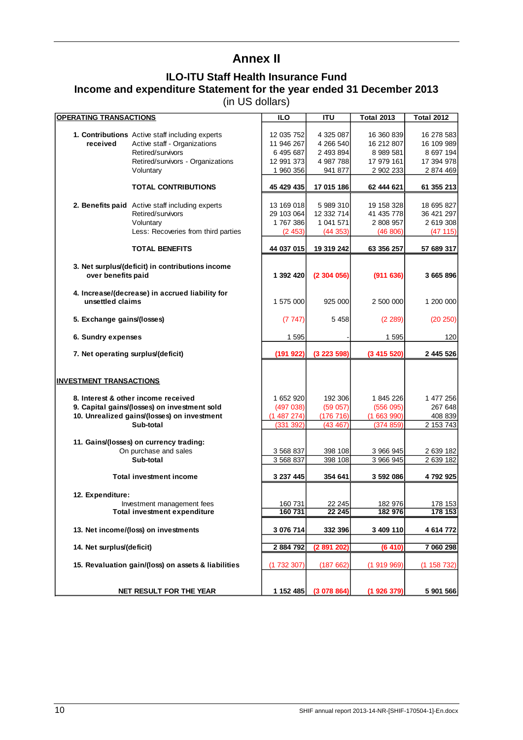## **Annex II**

## **ILO-ITU Staff Health Insurance Fund Income and expenditure Statement for the year ended 31 December 2013**

(in US dollars)

| <b>OPERATING TRANSACTIONS</b>                                       | <b>ILO</b> | ITU         | <b>Total 2013</b> | <b>Total 2012</b> |
|---------------------------------------------------------------------|------------|-------------|-------------------|-------------------|
|                                                                     |            |             |                   |                   |
| 1. Contributions Active staff including experts                     | 12 035 752 | 4 325 087   | 16 360 839        | 16 278 583        |
| Active staff - Organizations<br>received                            | 11 946 267 | 4 266 540   | 16 212 807        | 16 109 989        |
| Retired/survivors                                                   | 6 495 687  | 2 493 894   | 8 989 581         | 8 697 194         |
| Retired/survivors - Organizations                                   | 12 991 373 | 4 987 788   | 17 979 161        | 17 394 978        |
| Voluntary                                                           | 1 960 356  | 941 877     | 2 902 233         | 2 874 469         |
|                                                                     |            |             |                   |                   |
| <b>TOTAL CONTRIBUTIONS</b>                                          | 45 429 435 | 17 015 186  | 62 444 621        | 61 355 213        |
|                                                                     |            |             |                   |                   |
| 2. Benefits paid Active staff including experts                     | 13 169 018 | 5989310     | 19 158 328        | 18 695 827        |
| Retired/survivors                                                   | 29 103 064 | 12 332 714  | 41 435 778        | 36 421 297        |
| Voluntary                                                           | 1767386    | 1 041 571   | 2 808 957         | 2 619 308         |
| Less: Recoveries from third parties                                 | (2453)     | (44353)     | (46 806)          | (47115)           |
|                                                                     |            |             |                   |                   |
| <b>TOTAL BENEFITS</b>                                               | 44 037 015 | 19 319 242  | 63 356 257        | 57 689 317        |
|                                                                     |            |             |                   |                   |
| 3. Net surplus/(deficit) in contributions income                    |            |             |                   |                   |
| over benefits paid                                                  | 1 392 420  | (2304056)   | (911636)          | 3 665 896         |
|                                                                     |            |             |                   |                   |
| 4. Increase/(decrease) in accrued liability for<br>unsettled claims |            |             |                   |                   |
|                                                                     | 1 575 000  | 925 000     | 2 500 000         | 1 200 000         |
|                                                                     | (7747)     | 5458        | (2 289)           |                   |
| 5. Exchange gains/(losses)                                          |            |             |                   | (20 250)          |
| 6. Sundry expenses                                                  | 1 5 9 5    |             | 1 5 9 5           | 120               |
|                                                                     |            |             |                   |                   |
| 7. Net operating surplus/(deficit)                                  | (191922)   | (3223598)   | (3415520)         | 2 445 526         |
|                                                                     |            |             |                   |                   |
|                                                                     |            |             |                   |                   |
| <b>INVESTMENT TRANSACTIONS</b>                                      |            |             |                   |                   |
|                                                                     |            |             |                   |                   |
| 8. Interest & other income received                                 | 1 652 920  | 192 306     | 1845226           | 1 477 256         |
| 9. Capital gains/(losses) on investment sold                        | (497 038)  | (59057)     | (556095)          | 267 648           |
| 10. Unrealized gains/(losses) on investment                         | (1487274)  | (176 716)   | (1663990)         | 408 839           |
| Sub-total                                                           | (331 392)  | (43 467)    | (374 859)         | 2 153 743         |
|                                                                     |            |             |                   |                   |
| 11. Gains/(losses) on currency trading:                             |            |             |                   |                   |
| On purchase and sales                                               | 3 568 837  | 398 108     | 3 966 945         | 2 639 182         |
| Sub-total                                                           | 3 568 837  | 398 108     | 3 966 945         | 2 639 182         |
|                                                                     |            |             |                   |                   |
| <b>Total investment income</b>                                      | 3 237 445  | 354 641     | 3 592 086         | 4792925           |
|                                                                     |            |             |                   |                   |
| 12. Expenditure:                                                    |            |             |                   |                   |
| Investment management fees                                          | 160 731    | 22 245      | 182 976           | 178 153           |
| <b>Total investment expenditure</b>                                 | 160 731    | 22 245      | 182 976           | 178 153           |
|                                                                     |            |             |                   |                   |
| 13. Net income/(loss) on investments                                | 3 076 714  | 332 396     | 3 409 110         | 4 614 772         |
|                                                                     |            |             |                   |                   |
| 14. Net surplus/(deficit)                                           | 2 884 792  | (2 891 202) | (6410)            | 7 060 298         |
|                                                                     |            |             |                   |                   |
| 15. Revaluation gain/(loss) on assets & liabilities                 | (1732307)  | (187662)    | (1919969)         | (1158732)         |
|                                                                     |            |             |                   |                   |
|                                                                     |            |             |                   |                   |
| NET RESULT FOR THE YEAR                                             | 1 152 485  | (3078864)   | (1926379)         | 5 901 566         |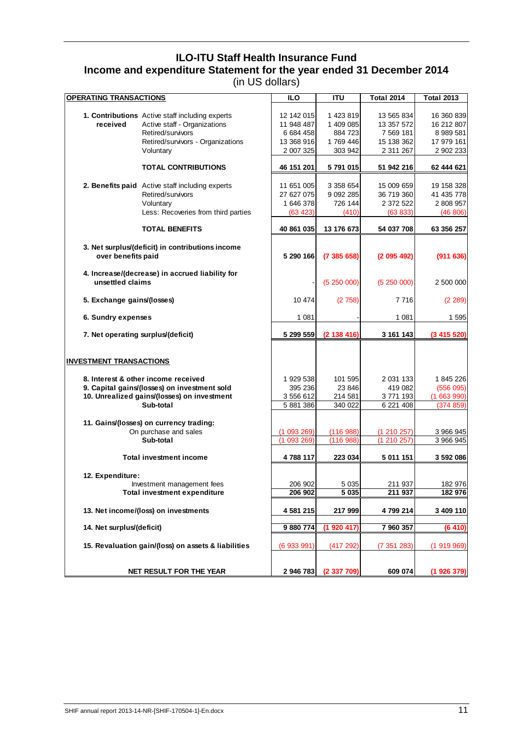## **ILO-ITU Staff Health Insurance Fund Income and expenditure Statement for the year ended 31 December 2014** (in US dollars)

| <b>OPERATING TRANSACTIONS</b>      |                                                                                                                                                        | <b>ILO</b>                                                       | <b>ITU</b>                                              | <b>Total 2014</b>                                                | <b>Total 2013</b>                                                |
|------------------------------------|--------------------------------------------------------------------------------------------------------------------------------------------------------|------------------------------------------------------------------|---------------------------------------------------------|------------------------------------------------------------------|------------------------------------------------------------------|
| received                           | 1. Contributions Active staff including experts<br>Active staff - Organizations<br>Retired/survivors<br>Retired/survivors - Organizations<br>Voluntary | 12 142 015<br>11 948 487<br>6 684 458<br>13 368 916<br>2 007 325 | 1 423 819<br>1 409 085<br>884 723<br>1769446<br>303 942 | 13 565 834<br>13 357 572<br>7 569 181<br>15 138 362<br>2 311 267 | 16 360 839<br>16 212 807<br>8 989 581<br>17 979 161<br>2 902 233 |
|                                    | <b>TOTAL CONTRIBUTIONS</b>                                                                                                                             | 46 151 201                                                       | 5 791 015                                               | 51 942 216                                                       | 62 444 621                                                       |
|                                    | 2. Benefits paid Active staff including experts<br>Retired/survivors<br>Voluntary<br>Less: Recoveries from third parties                               | 11 651 005<br>27 627 075<br>1 646 378<br>(63 423)                | 3 358 654<br>9 0 9 2 2 8 5<br>726 144<br>(410)          | 15 009 659<br>36 719 360<br>2 372 522<br>(63 833)                | 19 158 328<br>41 435 778<br>2 808 957<br>(46 806)                |
|                                    | <b>TOTAL BENEFITS</b>                                                                                                                                  | 40 861 035                                                       | 13 176 673                                              | 54 037 708                                                       | 63 356 257                                                       |
| over benefits paid                 | 3. Net surplus/(deficit) in contributions income                                                                                                       | 5 290 166                                                        | (7385658)                                               | (2095492)                                                        | (911636)                                                         |
| unsettled claims                   | 4. Increase/(decrease) in accrued liability for                                                                                                        |                                                                  | (5250000)                                               | (5250000)                                                        | 2 500 000                                                        |
| 5. Exchange gains/(losses)         |                                                                                                                                                        | 10 474                                                           | (2758)                                                  | 7 7 1 6                                                          | (2 289)                                                          |
| 6. Sundry expenses                 |                                                                                                                                                        | 1 0 8 1                                                          |                                                         | 1 081                                                            | 1 595                                                            |
| 7. Net operating surplus/(deficit) |                                                                                                                                                        | 5 299 559                                                        | (2 138 416)                                             | 3 161 143                                                        | (3415520)                                                        |
| <b>INVESTMENT TRANSACTIONS</b>     |                                                                                                                                                        |                                                                  |                                                         |                                                                  |                                                                  |
|                                    | 8. Interest & other income received<br>9. Capital gains/(losses) on investment sold<br>10. Unrealized gains/(losses) on investment<br>Sub-total        | 1 929 538<br>395 236<br>3 556 612<br>5 881 386                   | 101 595<br>23 846<br>214 581<br>340 022                 | 2 031 133<br>419 082<br>3771193<br>6 221 408                     | 1845226<br>(556095)<br>(1663990)<br>(374 859)                    |
|                                    | 11. Gains/(losses) on currency trading:<br>On purchase and sales<br>Sub-total                                                                          | (1093269)<br>(1093269)                                           | (116988)<br>(116988)                                    | (1210257)<br>(1210257)                                           | 3 966 945<br>3 966 945                                           |
|                                    | <b>Total investment income</b>                                                                                                                         | 4788117                                                          | 223 034                                                 | 5 011 151                                                        | 3 592 086                                                        |
|                                    |                                                                                                                                                        |                                                                  |                                                         |                                                                  |                                                                  |
| 12. Expenditure:                   | Investment management fees<br><b>Total investment expenditure</b>                                                                                      | 206 902<br>206 902                                               | 5 0 35<br>5 0 35                                        | 211 937<br>211 937                                               | 182 976<br>182 976                                               |
|                                    | 13. Net income/(loss) on investments                                                                                                                   | 4 581 215                                                        | 217 999                                                 | 4799214                                                          | 3 409 110                                                        |
| 14. Net surplus/(deficit)          |                                                                                                                                                        | 9 880 774                                                        | (1 920 417)                                             | 7 960 357                                                        | (6410)                                                           |
|                                    | 15. Revaluation gain/(loss) on assets & liabilities                                                                                                    | (6 933 991)                                                      | (417 292)                                               | (7 351 283)                                                      | (1919969)                                                        |
|                                    | <b>NET RESULT FOR THE YEAR</b>                                                                                                                         | 2 946 783                                                        | (2 337 709)                                             | 609 074                                                          | (1926379)                                                        |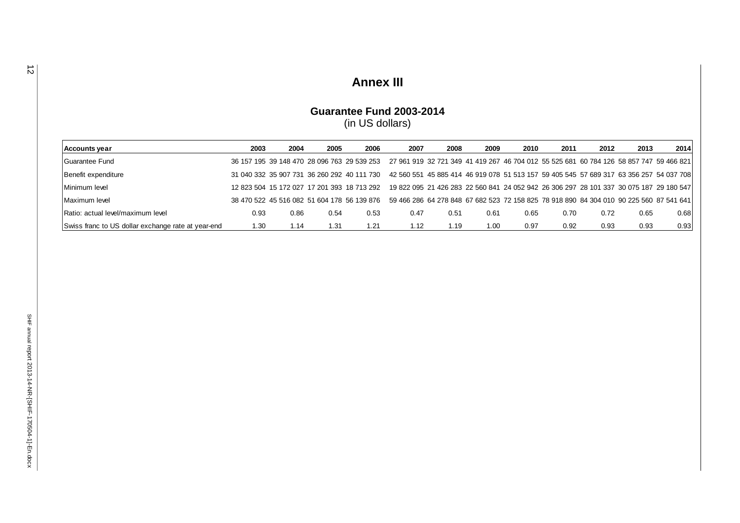# **Annex III**

### **Guarantee Fund 2003 -2014**

(in US dollars)

| Accounts year                                      | 2003 | 2004 | 2005 | 2006                                        | 2007                                                                                    | 2008 | 2009 | 2010 | 2011 | 2012                                                                                    | 2013 | 2014 |
|----------------------------------------------------|------|------|------|---------------------------------------------|-----------------------------------------------------------------------------------------|------|------|------|------|-----------------------------------------------------------------------------------------|------|------|
| Guarantee Fund                                     |      |      |      | 36 157 195 39 148 470 28 096 763 29 539 253 | 27 961 919 32 721 349 41 419 267 46 704 012 55 525 681 60 784 126 58 857 747 59 466 821 |      |      |      |      |                                                                                         |      |      |
| Benefit expenditure                                |      |      |      | 31 040 332 35 907 731 36 260 292 40 111 730 | 42 560 551 45 885 414 46 919 078 51 513 157 59 405 545 57 689 317 63 356 257 54 037 708 |      |      |      |      |                                                                                         |      |      |
| Minimum level                                      |      |      |      | 12 823 504 15 172 027 17 201 393 18 713 292 |                                                                                         |      |      |      |      | 19 822 095 21 426 283 22 560 841 24 052 942 26 306 297 28 101 337 30 075 187 29 180 547 |      |      |
| Maximum level                                      |      |      |      | 38 470 522 45 516 082 51 604 178 56 139 876 | 59 466 286 64 278 848 67 682 523 72 158 825 78 918 890 84 304 010 90 225 560 87 541 641 |      |      |      |      |                                                                                         |      |      |
| Ratio: actual level/maximum level                  | 0.93 | 0.86 | 0.54 | 0.53                                        | 0.47                                                                                    | 0.51 | 0.61 | 0.65 | 0.70 | 0.72                                                                                    | 0.65 | 0.68 |
| Swiss franc to US dollar exchange rate at year-end | 1.30 | 1.14 | 1.31 | 1.21                                        | 1.12                                                                                    | 1.19 | 1.00 | 0.97 | 0.92 | 0.93                                                                                    | 0.93 | 0.93 |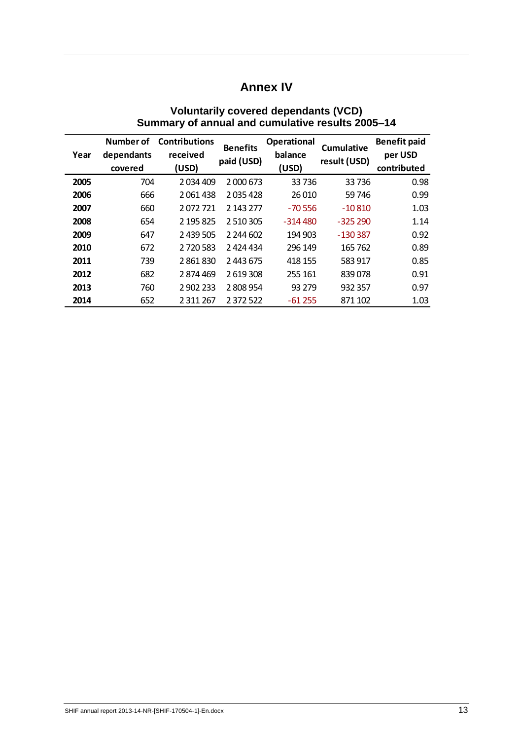## **Annex IV**

| Year | Number of<br>dependants<br>covered | <b>Contributions</b><br>received<br>(USD) | <b>Benefits</b><br>paid (USD) | <b>Operational</b><br>balance<br>(USD) | <b>Cumulative</b><br>result (USD) | <b>Benefit paid</b><br>per USD<br>contributed |
|------|------------------------------------|-------------------------------------------|-------------------------------|----------------------------------------|-----------------------------------|-----------------------------------------------|
| 2005 | 704                                | 2 0 34 4 0 9                              | 2 000 673                     | 33736                                  | 33736                             | 0.98                                          |
| 2006 | 666                                | 2061438                                   | 2035428                       | 26 010                                 | 59 746                            | 0.99                                          |
| 2007 | 660                                | 2072721                                   | 2 143 277                     | $-70556$                               | $-10810$                          | 1.03                                          |
| 2008 | 654                                | 2 195 825                                 | 2 510 305                     | $-314480$                              | $-325290$                         | 1.14                                          |
| 2009 | 647                                | 2 439 505                                 | 2 244 602                     | 194 903                                | $-130387$                         | 0.92                                          |
| 2010 | 672                                | 2720583                                   | 2 424 434                     | 296 149                                | 165 762                           | 0.89                                          |
| 2011 | 739                                | 2861830                                   | 2 443 675                     | 418 155                                | 583 917                           | 0.85                                          |
| 2012 | 682                                | 2874469                                   | 2 619 308                     | 255 161                                | 839078                            | 0.91                                          |
| 2013 | 760                                | 2 902 233                                 | 2 808 954                     | 93 279                                 | 932 357                           | 0.97                                          |
| 2014 | 652                                | 2 3 1 2 6 7                               | 2 372 522                     | $-61255$                               | 871 102                           | 1.03                                          |

### **Voluntarily covered dependants (VCD) Summary of annual and cumulative results 2005–14**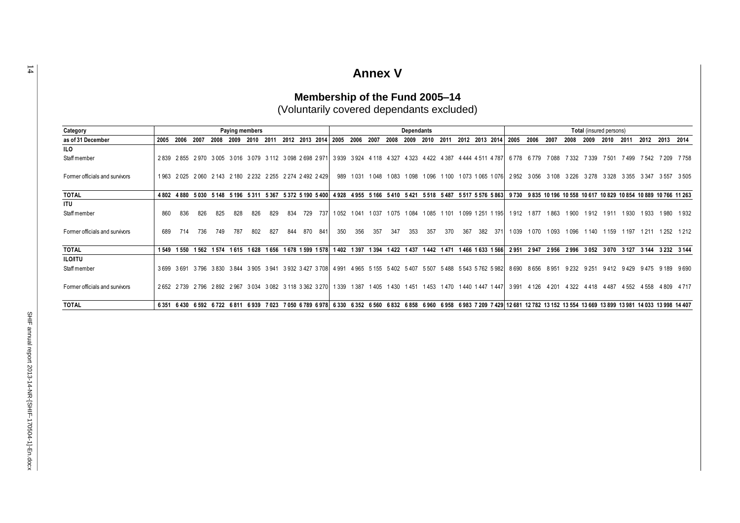## **Annex V**

#### **Category** as of 31 December 2005 2006 2007 2008 2009 2010 2011 2012 2013 2014 2005 2006 2007 2008 2010 2011 2012 2013 2014 2005 2010 2019 2009 2010 2014 2005 2006 2007 2008 2009 2010 2011 2012 2013 2014 **ILO** 2 839 2 855 2 970 3 005 3 016 3 079 3 112 3 098 2 698 2 971 3 939 3 924 4 118 4 327 4 323 4 422 4 387 4 444 4 511 4 787 6 778 6 779 7 088 7 332 7 339 7 501 7 499 7 542 7 209 7 758 1963 2025 2060 2143 2180 2232 2255 2274 2492 2429 989 1031 1048 1083 1098 1096 1100 1073 1065 1076 2952 3056 3108 3226 3278 3328 3355 3347 3557 3505 TOTAL 480 4880 5030 5148 5196 5311 5367 5372 5190 5400 4928 4955 5166 5410 5421 5518 5487 5517 5576 5863 9730 9835 10196 10558 10617 10829 10854 10889 10766 11263 **ITU** 860 836 826 825 828 826 829 834 729 737 1052 1041 1037 1075 1084 1085 1101 1099 1251 1195 1912 1877 1863 1900 1912 1911 1930 1933 1980 1932 689 714 736 749 787 802 827 844 870 841 350 356 357 347 353 357 370 367 382 371 1039 1070 1093 1096 1140 1159 1197 1211 1252 1212 TOTAL 1549 1560 1562 1574 1615 1628 1656 1678 1599 1578 1402 1397 1394 1422 1437 1442 1471 1466 1633 1566 2951 2947 2956 2996 3052 3070 3127 3144 3232 3144 **ILO/ITU** 3 699 3 691 3 796 3 830 3 844 3 905 3 941 3 932 3 427 3 708 4 991 4 965 5 155 5 402 5 407 5 507 5 488 5 543 5 762 5 982 8 690 8 656 8 951 9 232 9 251 9 412 9 429 9 475 9 189 9 690 2652 2739 2796 2892 2967 3034 3082 3118 3362 3270 1339 1387 1405 1430 1451 1453 1470 1440 1447 1447 3991 4126 4201 4322 4418 4487 4552 4558 4809 4717 14037 14033 1407 16351 16430 16592 1672 16811 16939 7023 7050 16789 16978 16330 16352 16560 16832 16858 16960 16958 16983 7209 7429 12:061 12:082 13:152 13:154 13:069 13:899 13:981 14:033 13:998 14:407 Staff member Former officials and survivors Former officials and survivors Staff member Former officials and survivors Staff member **Paying members Dependants Dependants Dependants Dependants Dependants Dependants Total** (insured persons)

### **Membership of the Fund 2005–14** (Voluntarily covered dependants excluded)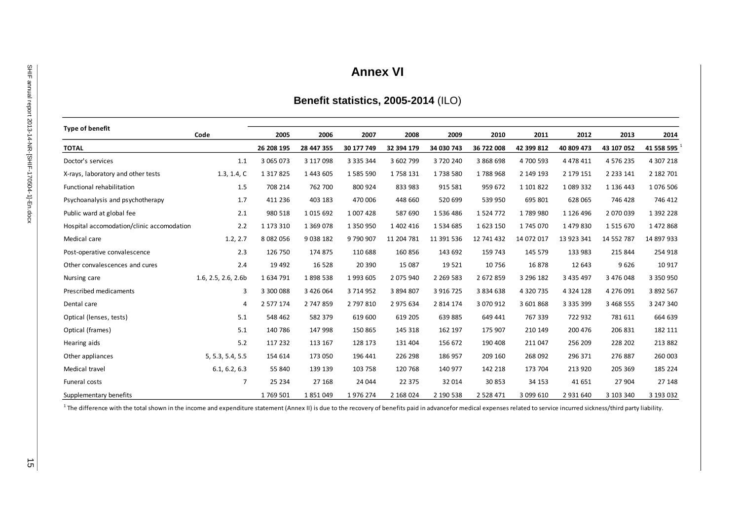## **Annex VI**

## **Benefit statistics, 2005-2014** (ILO)

| <b>Type of benefit</b>                    | Code                | 2005          | 2006          | 2007          | 2008       | 2009        | 2010          | 2011       | 2012          | 2013        | 2014       |
|-------------------------------------------|---------------------|---------------|---------------|---------------|------------|-------------|---------------|------------|---------------|-------------|------------|
| <b>TOTAL</b>                              |                     | 26 208 195    | 28 447 355    | 30 177 749    | 32 394 179 | 34 030 743  | 36 722 008    | 42 399 812 | 40 809 473    | 43 107 052  | 41 558 595 |
| Doctor's services                         | 1.1                 | 3 065 073     | 3 117 098     | 3 3 3 5 3 4 4 | 3 602 799  | 3720240     | 3 868 698     | 4700 593   | 4 4 7 8 4 1 1 | 4 576 235   | 4 307 218  |
| X-rays, laboratory and other tests        | 1.3, 1.4, C         | 1 3 1 7 8 2 5 | 1 443 605     | 1585590       | 1758131    | 1738580     | 1788968       | 2 149 193  | 2 179 151     | 2 2 3 1 4 1 | 2 182 701  |
| Functional rehabilitation                 | 1.5                 | 708 214       | 762 700       | 800 924       | 833 983    | 915 581     | 959 672       | 1 101 822  | 1 089 332     | 1 136 443   | 1076 506   |
| Psychoanalysis and psychotherapy          | 1.7                 | 411 236       | 403 183       | 470 006       | 448 660    | 520 699     | 539 950       | 695 801    | 628 065       | 746 428     | 746 412    |
| Public ward at global fee                 | 2.1                 | 980 518       | 1 0 1 5 6 9 2 | 1 007 428     | 587 690    | 1536486     | 1 5 2 4 7 7 2 | 1789980    | 1 1 2 6 4 9 6 | 2 070 039   | 1 392 228  |
| Hospital accomodation/clinic accomodation | 2.2                 | 1 173 310     | 1 3 6 9 0 7 8 | 1 350 950     | 1 402 416  | 1534685     | 1623 150      | 1745 070   | 1479830       | 1515670     | 1472868    |
| Medical care                              | 1.2, 2.7            | 8 0 8 2 0 5 6 | 9 0 38 1 82   | 9790907       | 11 204 781 | 11 391 536  | 12 741 432    | 14 072 017 | 13 923 341    | 14 552 787  | 14 897 933 |
| Post-operative convalescence              | 2.3                 | 126 750       | 174 875       | 110 688       | 160 856    | 143 692     | 159 743       | 145 579    | 133 983       | 215 844     | 254 918    |
| Other convalescences and cures            | 2.4                 | 19 4 92       | 16 5 28       | 20 390        | 15 087     | 19 5 21     | 10 756        | 16878      | 12 643        | 9626        | 10 917     |
| Nursing care                              | 1.6, 2.5, 2.6, 2.6b | 1634791       | 1898538       | 1993 605      | 2 075 940  | 2 2 69 5 83 | 2 672 859     | 3 296 182  | 3 435 497     | 3 476 048   | 3 350 950  |
| Prescribed medicaments                    | 3                   | 3 300 088     | 3 4 2 6 0 6 4 | 3 714 952     | 3 894 807  | 3 916 725   | 3 8 3 4 6 3 8 | 4 320 735  | 4 3 2 4 1 2 8 | 4 276 091   | 3 892 567  |
| Dental care                               | 4                   | 2 577 174     | 2 747 859     | 2 797 810     | 2 975 634  | 2 8 14 1 74 | 3 070 912     | 3 601 868  | 3 3 3 5 3 9 9 | 3 468 555   | 3 247 340  |
| Optical (lenses, tests)                   | 5.1                 | 548 462       | 582 379       | 619 600       | 619 205    | 639 885     | 649 441       | 767 339    | 722 932       | 781 611     | 664 639    |
| Optical (frames)                          | 5.1                 | 140 786       | 147 998       | 150 865       | 145 318    | 162 197     | 175 907       | 210 149    | 200 476       | 206 831     | 182 111    |
| Hearing aids                              | 5.2                 | 117 232       | 113 167       | 128 173       | 131 404    | 156 672     | 190 408       | 211 047    | 256 209       | 228 202     | 213 882    |
| Other appliances                          | 5, 5.3, 5.4, 5.5    | 154 614       | 173 050       | 196 441       | 226 298    | 186 957     | 209 160       | 268 092    | 296 371       | 276 887     | 260 003    |
| Medical travel                            | 6.1, 6.2, 6.3       | 55 840        | 139 139       | 103 758       | 120 768    | 140 977     | 142 218       | 173 704    | 213 920       | 205 369     | 185 224    |
| Funeral costs                             | 7                   | 25 234        | 27 168        | 24 044        | 22 375     | 32 014      | 30 853        | 34 153     | 41 651        | 27 904      | 27 148     |
| Supplementary benefits                    |                     | 1769 501      | 1851049       | 1976 274      | 2 168 024  | 2 190 538   | 2 5 2 8 4 7 1 | 3 099 610  | 2 931 640     | 3 103 340   | 3 193 032  |

 $^1$  The difference with the total shown in the income and expenditure statement (Annex II) is due to the recovery of benefits paid in advancefor medical expenses related to service incurred sickness/third party liability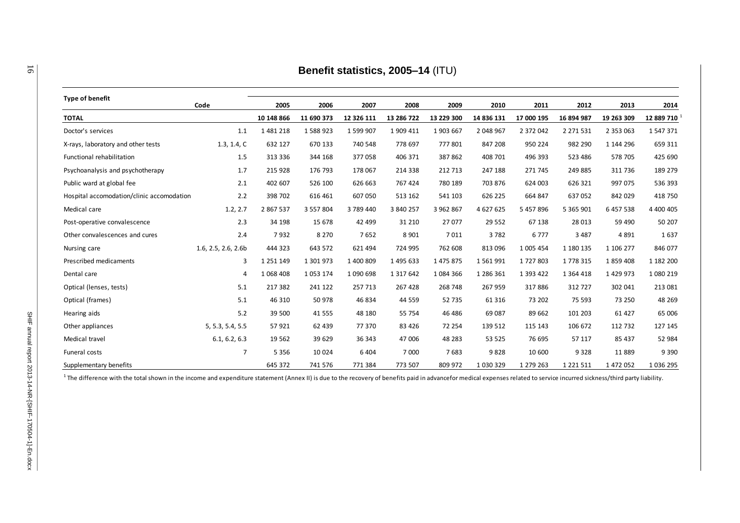| <b>Type of benefit</b>                    |                     |               |            |            |               |            |               |            |               |               |             |
|-------------------------------------------|---------------------|---------------|------------|------------|---------------|------------|---------------|------------|---------------|---------------|-------------|
|                                           | Code                | 2005          | 2006       | 2007       | 2008          | 2009       | 2010          | 2011       | 2012          | 2013          | 2014        |
| <b>TOTAL</b>                              |                     | 10 148 866    | 11 690 373 | 12 326 111 | 13 286 722    | 13 229 300 | 14 836 131    | 17 000 195 | 16 894 987    | 19 263 309    | 12 889 710  |
| Doctor's services                         | 1.1                 | 1481218       | 1588923    | 1 599 907  | 1 909 411     | 1903 667   | 2 048 967     | 2 372 042  | 2 2 7 1 5 3 1 | 2 3 5 3 0 6 3 | 1547371     |
| X-rays, laboratory and other tests        | 1.3, 1.4, C         | 632 127       | 670 133    | 740 548    | 778 697       | 777 801    | 847 208       | 950 224    | 982 290       | 1 144 296     | 659 311     |
| Functional rehabilitation                 | 1.5                 | 313 336       | 344 168    | 377058     | 406 371       | 387862     | 408 701       | 496 393    | 523 486       | 578 705       | 425 690     |
| Psychoanalysis and psychotherapy          | 1.7                 | 215 928       | 176 793    | 178 067    | 214 338       | 212 713    | 247 188       | 271 745    | 249 885       | 311 736       | 189 279     |
| Public ward at global fee                 | 2.1                 | 402 607       | 526 100    | 626 663    | 767 424       | 780 189    | 703 876       | 624 003    | 626 321       | 997 075       | 536 393     |
| Hospital accomodation/clinic accomodation | 2.2                 | 398 702       | 616 461    | 607 050    | 513 162       | 541 103    | 626 225       | 664 847    | 637052        | 842 029       | 418 750     |
| Medical care                              | 1.2, 2.7            | 2 867 537     | 3 557 804  | 3789440    | 3 840 257     | 3 962 867  | 4 627 625     | 5 457 896  | 5 365 901     | 6 457 538     | 4 400 405   |
| Post-operative convalescence              | 2.3                 | 34 198        | 15 678     | 42 499     | 31 210        | 27 077     | 29 5 52       | 67 138     | 28 013        | 59 490        | 50 207      |
| Other convalescences and cures            | 2.4                 | 7932          | 8 2 7 0    | 7652       | 8 9 0 1       | 7011       | 3782          | 6777       | 3 4 8 7       | 4891          | 1637        |
| Nursing care                              | 1.6, 2.5, 2.6, 2.6b | 444 323       | 643 572    | 621 494    | 724 995       | 762 608    | 813 096       | 1 005 454  | 1 180 135     | 1 106 277     | 846 077     |
| Prescribed medicaments                    | 3                   | 1 2 5 1 1 4 9 | 1 301 973  | 1 400 809  | 1 495 633     | 1 475 875  | 1561991       | 1727803    | 1778 315      | 1859408       | 1 182 200   |
| Dental care                               | 4                   | 1068408       | 1053174    | 1 090 698  | 1 3 1 7 6 4 2 | 1084366    | 1 286 361     | 1 393 422  | 1 3 6 4 4 1 8 | 1 4 2 9 9 7 3 | 1 080 219   |
| Optical (lenses, tests)                   | 5.1                 | 217 382       | 241 122    | 257 713    | 267 428       | 268 748    | 267 959       | 317886     | 312 727       | 302 041       | 213 081     |
| Optical (frames)                          | 5.1                 | 46 310        | 50 978     | 46 834     | 44 5 59       | 52 735     | 61 316        | 73 202     | 75 593        | 73 250        | 48 269      |
| Hearing aids                              | 5.2                 | 39 500        | 41 5 5 5   | 48 180     | 55 754        | 46 48 6    | 69 087        | 89 662     | 101 203       | 61 427        | 65 006      |
| Other appliances                          | 5, 5.3, 5.4, 5.5    | 57921         | 62 439     | 77 370     | 83 4 26       | 72 254     | 139 512       | 115 143    | 106 672       | 112 732       | 127 145     |
| Medical travel                            | 6.1, 6.2, 6.3       | 19 5 62       | 39 629     | 36 343     | 47 006        | 48 283     | 53 525        | 76 695     | 57 117        | 85 437        | 52 984      |
| Funeral costs                             | $\overline{7}$      | 5 3 5 6       | 10 0 24    | 6 4 0 4    | 7 000         | 7683       | 9828          | 10 600     | 9328          | 11889         | 9 3 9 0     |
| Supplementary benefits                    |                     | 645 372       | 741 576    | 771 384    | 773 507       | 809 972    | 1 0 3 0 3 2 9 | 1 279 263  | 1 2 2 1 5 1 1 | 1 472 052     | 1 0 36 2 95 |

 $^1$  The difference with the total shown in the income and expenditure statement (Annex II) is due to the recovery of benefits paid in advancefor medical expenses related to service incurred sickness/third party liability